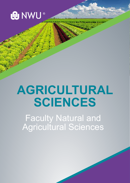

# **AGRICULTURAL SCIENCES**

Faculty Natural and Agricultural Sciences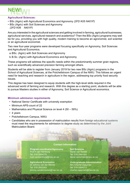## **NEW! NEW!**

#### **Agricultural Sciences:**

- BSc (Agric) with Agricultural Economics and Agronomy *(2FD K05 N401P)*
- BSc (Agric) with Soil Sciences and Agronomy *(2FD K06 N401P)*

Are you interested in the agricultural sciences and getting involved in farming, agricultural businesses, agricultural services, agricultural research and academics? Then the BSc (Agric) programs may well be for you, providing you with high quality, modern training to become an agronomist, soil scientist or an agricultural economist.

Two new four-year programs were developed focusing specifically on Agronomy, Soil Sciences and Agricultural Economics.

- a.BSc. (Agric) with Soil Sciences and Agronomy
- b.B.Sc. (Agric) with Agricultural Economics and Agronomy

These programs will address the specific needs within the predominantly summer grain regions, such as scientifically advanced precision farming amongst others.

Students will be able to register from January 2019 for two new BSc (Agric) programs in the School of Agricultural Sciences, at the Potchefstroom Campus of the NWU. This follows an urgent need for teaching and research in agriculture in the region, addressing top priority food security issues.

This degree has been designed to equip students with the high-level skills required in the advanced world of farming and research. With this degree as a starting point, students will be able to pursue Masters studies in either of Agronomy, Soil Science or Agricultural economics.

### **Minimum admission requirements**

- National Senior Certificate with university exemption
- Minimum APS-count of 22
- Mathematics and Physical Science on level 4 (50 59%)
- 4 years
- Potchefstroom Campus, NWU
- Candidates who are in possession of matriculation results from foreign educational systems must meet the requirements for admission to degree study as determined by the Joint Matriculation Board.

#### **Contact Information**

**Program coordinator/Agronomy** Prof H van Hamburg Tel: 018 2994376 huib.vanhamburg@nwu.ac.za

**Agricultural Economics** Dr Johnny van der Merwe Tel: 018 2852393 johnny.vandermerwe@nwu.ac.za **Soil Sciences** Danel van Tonder Tel: 018 2991092 danel.vantonder@nwu.ac.za

**Undergraduate Administration** Mrs Chantel Zaayman Tel: 018 2994213 chantel.zaayman@nwu.ac.za